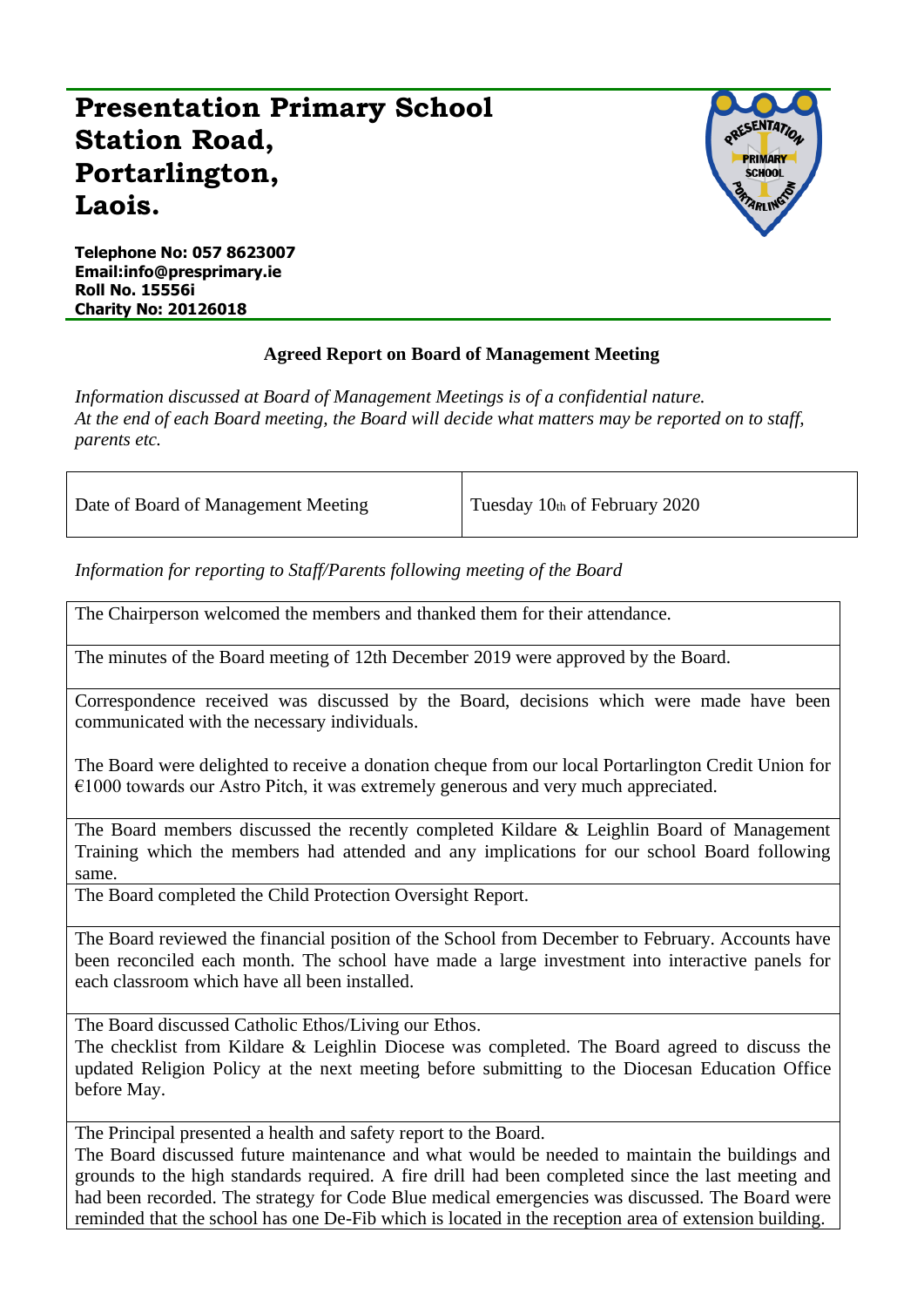## **Presentation Primary School Station Road, Portarlington, Laois.**



**Telephone No: 057 8623007 Email:info@presprimary.ie Roll No. 15556i Charity No: 20126018**

## **Agreed Report on Board of Management Meeting**

*Information discussed at Board of Management Meetings is of a confidential nature. At the end of each Board meeting, the Board will decide what matters may be reported on to staff, parents etc.*

| Date of Board of Management Meeting | Tuesday 10th of February 2020 |
|-------------------------------------|-------------------------------|
|-------------------------------------|-------------------------------|

*Information for reporting to Staff/Parents following meeting of the Board*

The Chairperson welcomed the members and thanked them for their attendance.

The minutes of the Board meeting of 12th December 2019 were approved by the Board.

Correspondence received was discussed by the Board, decisions which were made have been communicated with the necessary individuals.

The Board were delighted to receive a donation cheque from our local Portarlington Credit Union for €1000 towards our Astro Pitch, it was extremely generous and very much appreciated.

The Board members discussed the recently completed Kildare & Leighlin Board of Management Training which the members had attended and any implications for our school Board following same.

The Board completed the Child Protection Oversight Report.

The Board reviewed the financial position of the School from December to February. Accounts have been reconciled each month. The school have made a large investment into interactive panels for each classroom which have all been installed.

The Board discussed Catholic Ethos/Living our Ethos.

The checklist from Kildare & Leighlin Diocese was completed. The Board agreed to discuss the updated Religion Policy at the next meeting before submitting to the Diocesan Education Office before May.

The Principal presented a health and safety report to the Board.

The Board discussed future maintenance and what would be needed to maintain the buildings and grounds to the high standards required. A fire drill had been completed since the last meeting and had been recorded. The strategy for Code Blue medical emergencies was discussed. The Board were reminded that the school has one De-Fib which is located in the reception area of extension building.